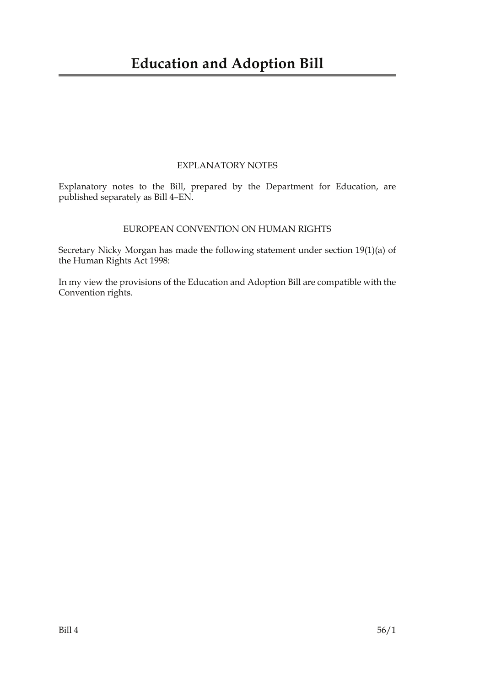## EXPLANATORY NOTES

Explanatory notes to the Bill, prepared by the Department for Education, are published separately as Bill 4–EN.

## EUROPEAN CONVENTION ON HUMAN RIGHTS

Secretary Nicky Morgan has made the following statement under section 19(1)(a) of the Human Rights Act 1998:

In my view the provisions of the Education and Adoption Bill are compatible with the Convention rights.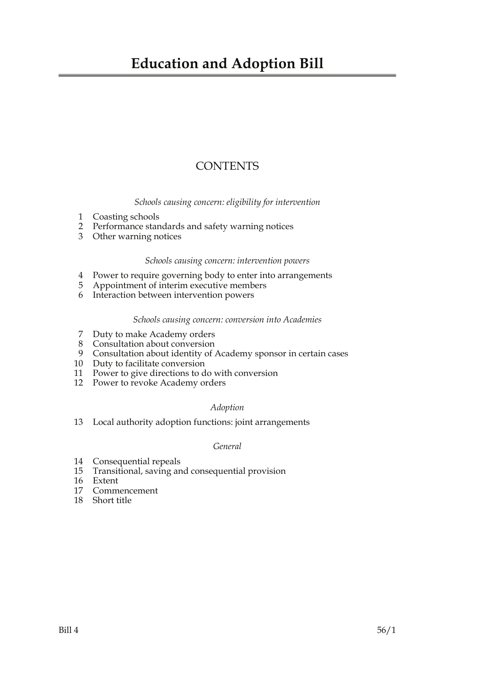## **Education and Adoption Bill**

## **CONTENTS**

*Schools causing concern: eligibility for intervention*

- 1 Coasting schools
- 2 Performance standards and safety warning notices
- 3 Other warning notices

## *Schools causing concern: intervention powers*

- 4 Power to require governing body to enter into arrangements
- 5 Appointment of interim executive members
- 6 Interaction between intervention powers

## *Schools causing concern: conversion into Academies*

- 7 Duty to make Academy orders
- 8 Consultation about conversion
- 9 Consultation about identity of Academy sponsor in certain cases
- 10 Duty to facilitate conversion
- 11 Power to give directions to do with conversion
- 12 Power to revoke Academy orders

## *Adoption*

13 Local authority adoption functions: joint arrangements

## *General*

- 14 Consequential repeals
- 15 Transitional, saving and consequential provision
- 16 Extent
- 17 Commencement
- 18 Short title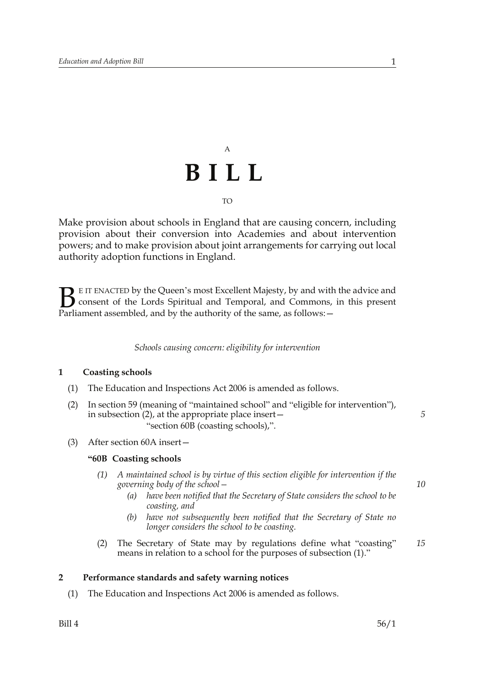## A **BILL** TO

Make provision about schools in England that are causing concern, including provision about their conversion into Academies and about intervention powers; and to make provision about joint arrangements for carrying out local authority adoption functions in England.

E IT ENACTED by the Queen's most Excellent Majesty, by and with the advice and consent of the Lords Spiritual and Temporal, and Commons, in this present Parliament assembled, and by the authority of the same, as follows: - $B_{\text{p}}$ 

*Schools causing concern: eligibility for intervention*

## **1 Coasting schools**

- (1) The Education and Inspections Act 2006 is amended as follows.
- (2) In section 59 (meaning of "maintained school" and "eligible for intervention"), in subsection  $(2)$ , at the appropriate place insert  $-$ "section 60B (coasting schools),".
- (3) After section 60A insert—

## **"60B Coasting schools**

- *(1) A maintained school is by virtue of this section eligible for intervention if the governing body of the school—*
	- *(a) have been notified that the Secretary of State considers the school to be coasting, and*
	- *(b) have not subsequently been notified that the Secretary of State no longer considers the school to be coasting.*
- (2) The Secretary of State may by regulations define what "coasting" means in relation to a school for the purposes of subsection (1)." *15*

## **2 Performance standards and safety warning notices**

(1) The Education and Inspections Act 2006 is amended as follows.

*10*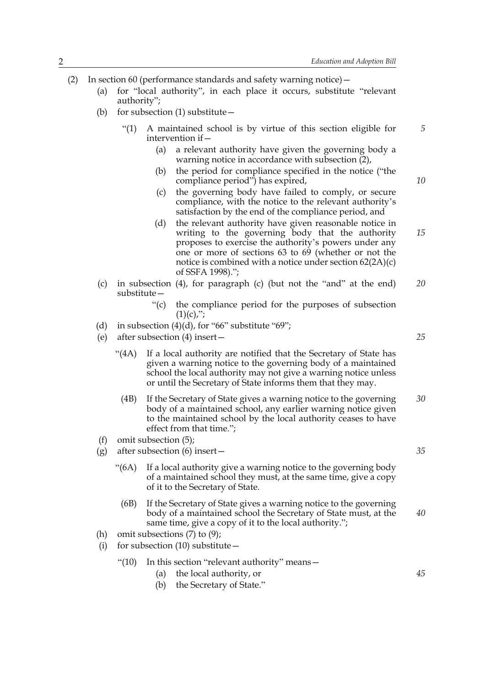- (2) In section 60 (performance standards and safety warning notice)—
	- (a) for "local authority", in each place it occurs, substitute "relevant authority";
	- (b) for subsection (1) substitute  $-$ 
		- "(1) A maintained school is by virtue of this section eligible for intervention if—
			- (a) a relevant authority have given the governing body a warning notice in accordance with subsection (2),
			- (b) the period for compliance specified in the notice ("the compliance period") has expired,
			- (c) the governing body have failed to comply, or secure compliance, with the notice to the relevant authority's satisfaction by the end of the compliance period, and
			- (d) the relevant authority have given reasonable notice in writing to the governing body that the authority proposes to exercise the authority's powers under any one or more of sections 63 to 69 (whether or not the notice is combined with a notice under section 62(2A)(c) of SSFA 1998)."; *15*
	- (c) in subsection (4), for paragraph (c) (but not the "and" at the end) substitute— *20*
		- "(c) the compliance period for the purposes of subsection  $(1)(c)$ ,";
	- (d) in subsection  $(4)(d)$ , for "66" substitute "69";
	- (e) after subsection (4) insert—
		- "(4A) If a local authority are notified that the Secretary of State has given a warning notice to the governing body of a maintained school the local authority may not give a warning notice unless or until the Secretary of State informs them that they may.
			- (4B) If the Secretary of State gives a warning notice to the governing body of a maintained school, any earlier warning notice given to the maintained school by the local authority ceases to have effect from that time."; *30*
	- (f) omit subsection (5);
	- (g) after subsection (6) insert—
		- "(6A) If a local authority give a warning notice to the governing body of a maintained school they must, at the same time, give a copy of it to the Secretary of State.
			- (6B) If the Secretary of State gives a warning notice to the governing body of a maintained school the Secretary of State must, at the same time, give a copy of it to the local authority."; *40*
	- (h) omit subsections (7) to (9);
	- (i) for subsection  $(10)$  substitute  $-$ 
		- "(10) In this section "relevant authority" means—
			- (a) the local authority, or
			- (b) the Secretary of State."

*25*

*5*

*10*

*35*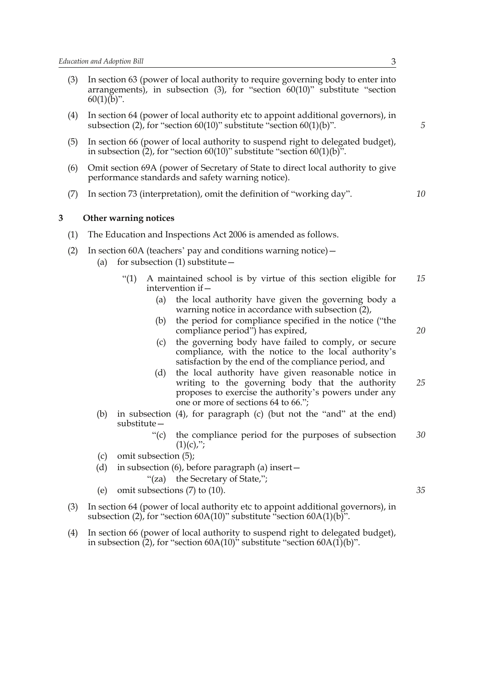- (3) In section 63 (power of local authority to require governing body to enter into arrangements), in subsection (3), for "section 60(10)" substitute "section  $60(1)(b)$ ".
- (4) In section 64 (power of local authority etc to appoint additional governors), in subsection (2), for "section 60(10)" substitute "section 60(1)(b)".
- (5) In section 66 (power of local authority to suspend right to delegated budget), in subsection (2), for "section 60(10)" substitute "section 60(1)(b)".
- (6) Omit section 69A (power of Secretary of State to direct local authority to give performance standards and safety warning notice).
- (7) In section 73 (interpretation), omit the definition of "working day".

## **3 Other warning notices**

- (1) The Education and Inspections Act 2006 is amended as follows.
- (2) In section 60A (teachers' pay and conditions warning notice)—
	- (a) for subsection  $(1)$  substitute  $-$ 
		- "(1) A maintained school is by virtue of this section eligible for intervention if— *15*
			- (a) the local authority have given the governing body a warning notice in accordance with subsection  $(2)$ ,
			- (b) the period for compliance specified in the notice ("the compliance period") has expired,
			- (c) the governing body have failed to comply, or secure compliance, with the notice to the local authority's satisfaction by the end of the compliance period, and
			- (d) the local authority have given reasonable notice in writing to the governing body that the authority proposes to exercise the authority's powers under any one or more of sections 64 to 66."; *25*
	- (b) in subsection (4), for paragraph (c) (but not the "and" at the end) substitute—
		- "(c) the compliance period for the purposes of subsection  $(1)(c)$ ,"; *30*
	- (c) omit subsection (5);
	- (d) in subsection (6), before paragraph (a) insert—

"(za) the Secretary of State,";

- (e) omit subsections (7) to (10).
- (3) In section 64 (power of local authority etc to appoint additional governors), in subsection (2), for "section 60A(10)" substitute "section 60A(1)(b)".
- (4) In section 66 (power of local authority to suspend right to delegated budget), in subsection  $(2)$ , for "section 60A(10)" substitute "section 60A(1)(b)".

*10*

*20*

*35*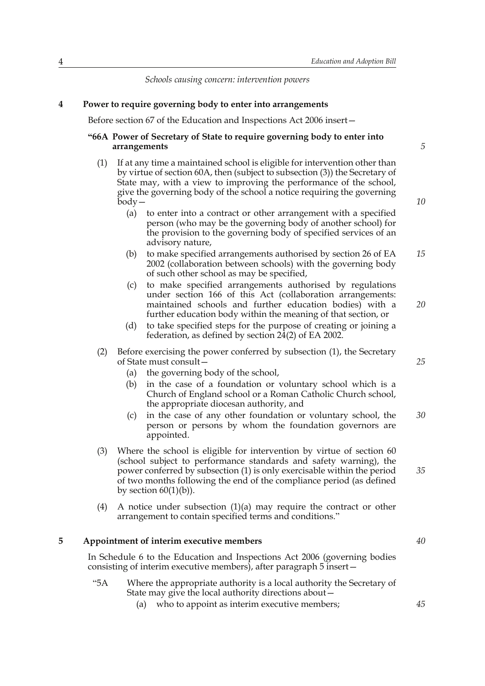*Schools causing concern: intervention powers*

## **4 Power to require governing body to enter into arrangements**

Before section 67 of the Education and Inspections Act 2006 insert—

## **"66A Power of Secretary of State to require governing body to enter into arrangements**

- (1) If at any time a maintained school is eligible for intervention other than by virtue of section 60A, then (subject to subsection (3)) the Secretary of State may, with a view to improving the performance of the school, give the governing body of the school a notice requiring the governing  $\bar{b}$ odv $-$ 
	- (a) to enter into a contract or other arrangement with a specified person (who may be the governing body of another school) for the provision to the governing body of specified services of an advisory nature,
	- (b) to make specified arrangements authorised by section 26 of EA 2002 (collaboration between schools) with the governing body of such other school as may be specified, *15*
	- (c) to make specified arrangements authorised by regulations under section 166 of this Act (collaboration arrangements: maintained schools and further education bodies) with a further education body within the meaning of that section, or
	- (d) to take specified steps for the purpose of creating or joining a federation, as defined by section 24(2) of EA 2002.
- (2) Before exercising the power conferred by subsection (1), the Secretary of State must consult—
	- (a) the governing body of the school,
	- (b) in the case of a foundation or voluntary school which is a Church of England school or a Roman Catholic Church school, the appropriate diocesan authority, and
	- (c) in the case of any other foundation or voluntary school, the person or persons by whom the foundation governors are appointed.
- (3) Where the school is eligible for intervention by virtue of section 60 (school subject to performance standards and safety warning), the power conferred by subsection (1) is only exercisable within the period of two months following the end of the compliance period (as defined by section  $60(1)(b)$ ).
- (4) A notice under subsection  $(1)(a)$  may require the contract or other arrangement to contain specified terms and conditions."

## **5 Appointment of interim executive members**

In Schedule 6 to the Education and Inspections Act 2006 (governing bodies consisting of interim executive members), after paragraph 5 insert—

- "5A Where the appropriate authority is a local authority the Secretary of State may give the local authority directions about—
	- (a) who to appoint as interim executive members;

*20*

- *25*
- *30*

*35*

*40*

*5*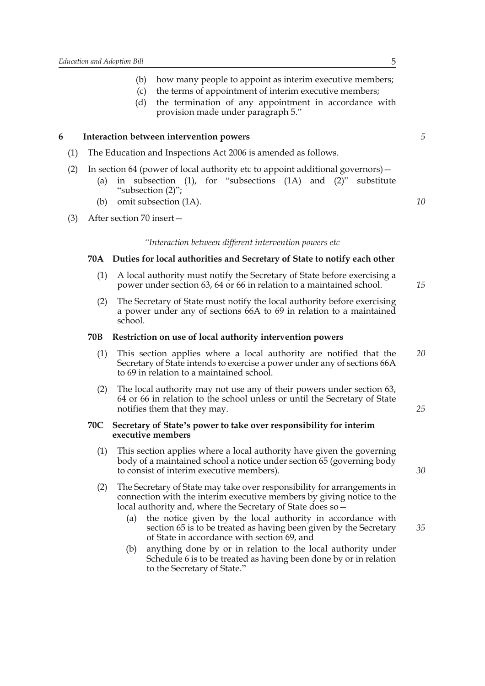- (b) how many people to appoint as interim executive members;
- (c) the terms of appointment of interim executive members;
- (d) the termination of any appointment in accordance with provision made under paragraph 5."

## **6 Interaction between intervention powers**

- (1) The Education and Inspections Act 2006 is amended as follows.
- (2) In section 64 (power of local authority etc to appoint additional governors)—
	- (a) in subsection (1), for "subsections (1A) and (2)" substitute "subsection (2)";
	- (b) omit subsection (1A).
- (3) After section 70 insert—

#### *"Interaction between different intervention powers etc*

## **70A Duties for local authorities and Secretary of State to notify each other**

- (1) A local authority must notify the Secretary of State before exercising a power under section 63, 64 or 66 in relation to a maintained school.
- (2) The Secretary of State must notify the local authority before exercising a power under any of sections 66A to 69 in relation to a maintained school.

#### **70B Restriction on use of local authority intervention powers**

- (1) This section applies where a local authority are notified that the Secretary of State intends to exercise a power under any of sections 66A to 69 in relation to a maintained school. *20*
- (2) The local authority may not use any of their powers under section 63, 64 or 66 in relation to the school unless or until the Secretary of State notifies them that they may.

#### **70C Secretary of State's power to take over responsibility for interim executive members**

- (1) This section applies where a local authority have given the governing body of a maintained school a notice under section 65 (governing body to consist of interim executive members).
- (2) The Secretary of State may take over responsibility for arrangements in connection with the interim executive members by giving notice to the local authority and, where the Secretary of State does so—
	- (a) the notice given by the local authority in accordance with section 65 is to be treated as having been given by the Secretary of State in accordance with section 69, and
	- (b) anything done by or in relation to the local authority under Schedule 6 is to be treated as having been done by or in relation to the Secretary of State."

*5*

*10*

*15*

*30*

*25*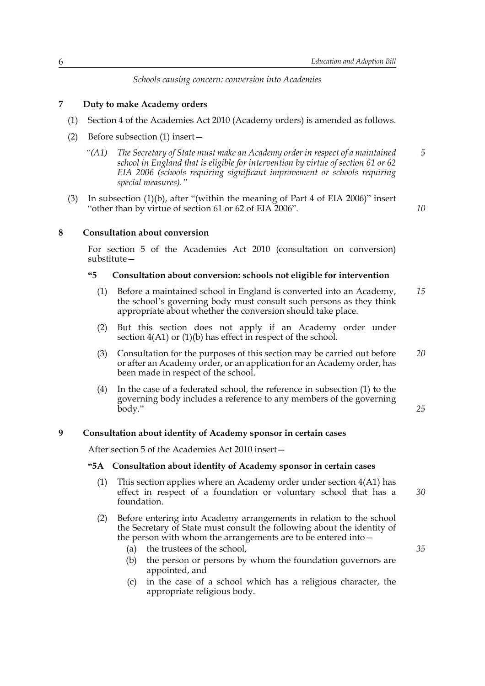*Schools causing concern: conversion into Academies*

## **7 Duty to make Academy orders**

- (1) Section 4 of the Academies Act 2010 (Academy orders) is amended as follows.
- (2) Before subsection (1) insert—
	- *"(A1) The Secretary of State must make an Academy order in respect of a maintained school in England that is eligible for intervention by virtue of section 61 or 62 EIA 2006 (schools requiring significant improvement or schools requiring special measures)." 5*
- (3) In subsection (1)(b), after "(within the meaning of Part 4 of EIA 2006)" insert "other than by virtue of section 61 or 62 of EIA 2006".

*10*

### **8 Consultation about conversion**

For section 5 of the Academies Act 2010 (consultation on conversion) substitute—

## **"5 Consultation about conversion: schools not eligible for intervention**

- (1) Before a maintained school in England is converted into an Academy, the school's governing body must consult such persons as they think appropriate about whether the conversion should take place. *15*
- (2) But this section does not apply if an Academy order under section  $4(A1)$  or  $(1)(b)$  has effect in respect of the school.
- (3) Consultation for the purposes of this section may be carried out before or after an Academy order, or an application for an Academy order, has been made in respect of the school. *20*
- (4) In the case of a federated school, the reference in subsection (1) to the governing body includes a reference to any members of the governing body."

*25*

## **9 Consultation about identity of Academy sponsor in certain cases**

After section 5 of the Academies Act 2010 insert—

## **"5A Consultation about identity of Academy sponsor in certain cases**

- (1) This section applies where an Academy order under section 4(A1) has effect in respect of a foundation or voluntary school that has a foundation. *30*
- (2) Before entering into Academy arrangements in relation to the school the Secretary of State must consult the following about the identity of the person with whom the arrangements are to be entered into—
	- (a) the trustees of the school,
	- (b) the person or persons by whom the foundation governors are appointed, and
	- (c) in the case of a school which has a religious character, the appropriate religious body.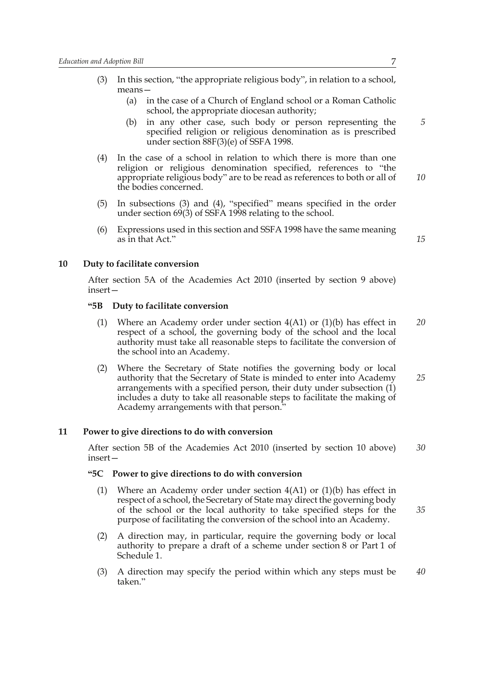- (3) In this section, "the appropriate religious body", in relation to a school, means—
	- (a) in the case of a Church of England school or a Roman Catholic school, the appropriate diocesan authority;
	- (b) in any other case, such body or person representing the specified religion or religious denomination as is prescribed under section 88F(3)(e) of SSFA 1998.
- (4) In the case of a school in relation to which there is more than one religion or religious denomination specified, references to "the appropriate religious body" are to be read as references to both or all of the bodies concerned. *10*
- (5) In subsections (3) and (4), "specified" means specified in the order under section 69(3) of SSFA 1998 relating to the school.
- (6) Expressions used in this section and SSFA 1998 have the same meaning as in that Act."

*15*

*5*

## **10 Duty to facilitate conversion**

After section 5A of the Academies Act 2010 (inserted by section 9 above) insert—

## **"5B Duty to facilitate conversion**

- (1) Where an Academy order under section  $4(A1)$  or  $(1)(b)$  has effect in respect of a school, the governing body of the school and the local authority must take all reasonable steps to facilitate the conversion of the school into an Academy. *20*
- (2) Where the Secretary of State notifies the governing body or local authority that the Secretary of State is minded to enter into Academy arrangements with a specified person, their duty under subsection (1) includes a duty to take all reasonable steps to facilitate the making of Academy arrangements with that person." *25*

## **11 Power to give directions to do with conversion**

After section 5B of the Academies Act 2010 (inserted by section 10 above) insert— *30*

#### **"5C Power to give directions to do with conversion**

- (1) Where an Academy order under section 4(A1) or (1)(b) has effect in respect of a school, the Secretary of State may direct the governing body of the school or the local authority to take specified steps for the purpose of facilitating the conversion of the school into an Academy. *35*
- (2) A direction may, in particular, require the governing body or local authority to prepare a draft of a scheme under section 8 or Part 1 of Schedule 1.
- (3) A direction may specify the period within which any steps must be taken." *40*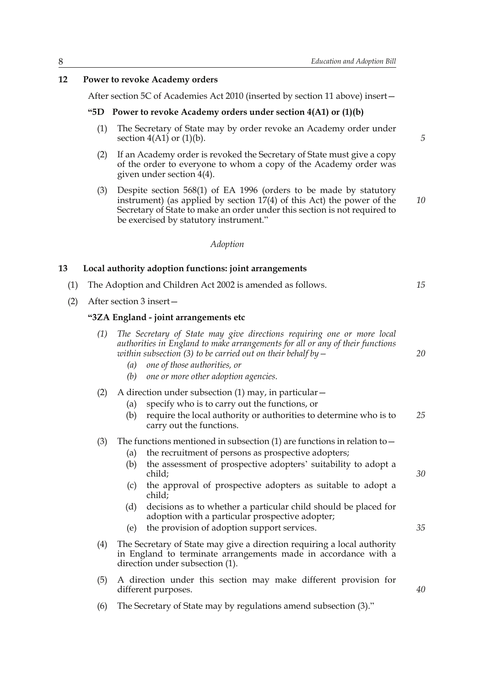## **12 Power to revoke Academy orders**

After section 5C of Academies Act 2010 (inserted by section 11 above) insert—

#### **"5D Power to revoke Academy orders under section 4(A1) or (1)(b)**

- (1) The Secretary of State may by order revoke an Academy order under section  $4(A1)$  or  $(1)(b)$ .
- (2) If an Academy order is revoked the Secretary of State must give a copy of the order to everyone to whom a copy of the Academy order was given under section 4(4).
- (3) Despite section 568(1) of EA 1996 (orders to be made by statutory instrument) (as applied by section 17(4) of this Act) the power of the Secretary of State to make an order under this section is not required to be exercised by statutory instrument."

### *Adoption*

## **13 Local authority adoption functions: joint arrangements**

- (1) The Adoption and Children Act 2002 is amended as follows.
- (2) After section 3 insert—

## **"3ZA England - joint arrangements etc**

| (1) The Secretary of State may give directions requiring one or more local    |
|-------------------------------------------------------------------------------|
| authorities in England to make arrangements for all or any of their functions |
| within subsection (3) to be carried out on their behalf by $-$                |

- *(a) one of those authorities, or*
- *(b) one or more other adoption agencies.*
- (2) A direction under subsection (1) may, in particular  $-$ 
	- (a) specify who is to carry out the functions, or
	- (b) require the local authority or authorities to determine who is to carry out the functions. *25*

## (3) The functions mentioned in subsection (1) are functions in relation to  $-$

- (a) the recruitment of persons as prospective adopters;
- (b) the assessment of prospective adopters' suitability to adopt a child;
- (c) the approval of prospective adopters as suitable to adopt a child;
- (d) decisions as to whether a particular child should be placed for adoption with a particular prospective adopter;
- (e) the provision of adoption support services.
- (4) The Secretary of State may give a direction requiring a local authority in England to terminate arrangements made in accordance with a direction under subsection (1).
- (5) A direction under this section may make different provision for different purposes.
- (6) The Secretary of State may by regulations amend subsection (3)."

*5*

*10*

*15*

*20*

*30*

*35*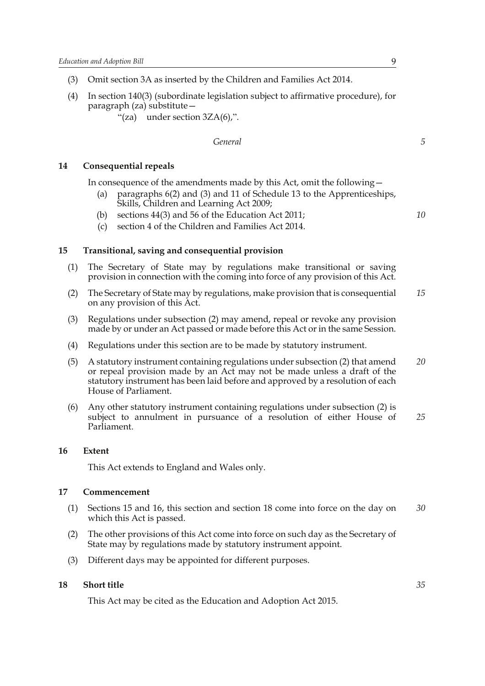- (3) Omit section 3A as inserted by the Children and Families Act 2014.
- (4) In section 140(3) (subordinate legislation subject to affirmative procedure), for paragraph (za) substitute—
	- "(za) under section  $3ZA(6)$ ,".

## *General*

## **14 Consequential repeals**

In consequence of the amendments made by this Act, omit the following—

- (a) paragraphs 6(2) and (3) and 11 of Schedule 13 to the Apprenticeships, Skills, Children and Learning Act 2009;
- (b) sections 44(3) and 56 of the Education Act 2011;
- (c) section 4 of the Children and Families Act 2014.

### **15 Transitional, saving and consequential provision**

- (1) The Secretary of State may by regulations make transitional or saving provision in connection with the coming into force of any provision of this Act.
- (2) The Secretary of State may by regulations, make provision that is consequential on any provision of this Act. *15*
- (3) Regulations under subsection (2) may amend, repeal or revoke any provision made by or under an Act passed or made before this Act or in the same Session.
- (4) Regulations under this section are to be made by statutory instrument.
- (5) A statutory instrument containing regulations under subsection (2) that amend or repeal provision made by an Act may not be made unless a draft of the statutory instrument has been laid before and approved by a resolution of each House of Parliament. *20*
- (6) Any other statutory instrument containing regulations under subsection (2) is subject to annulment in pursuance of a resolution of either House of Parliament. *25*

#### **16 Extent**

This Act extends to England and Wales only.

## **17 Commencement**

- (1) Sections 15 and 16, this section and section 18 come into force on the day on which this Act is passed. *30*
- (2) The other provisions of this Act come into force on such day as the Secretary of State may by regulations made by statutory instrument appoint.
- (3) Different days may be appointed for different purposes.

## **18 Short title**

This Act may be cited as the Education and Adoption Act 2015.

*10*